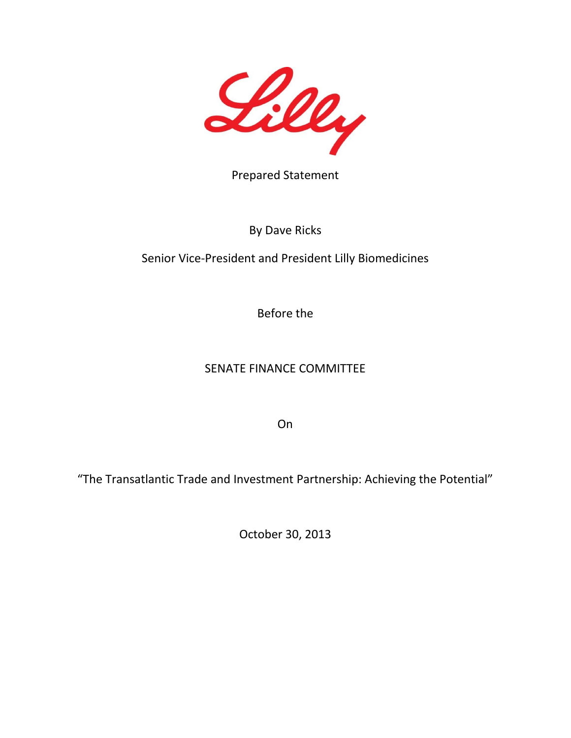

Prepared Statement

### By Dave Ricks

# Senior Vice-President and President Lilly Biomedicines

Before the

## SENATE FINANCE COMMITTEE

On

"The Transatlantic Trade and Investment Partnership: Achieving the Potential"

October 30, 2013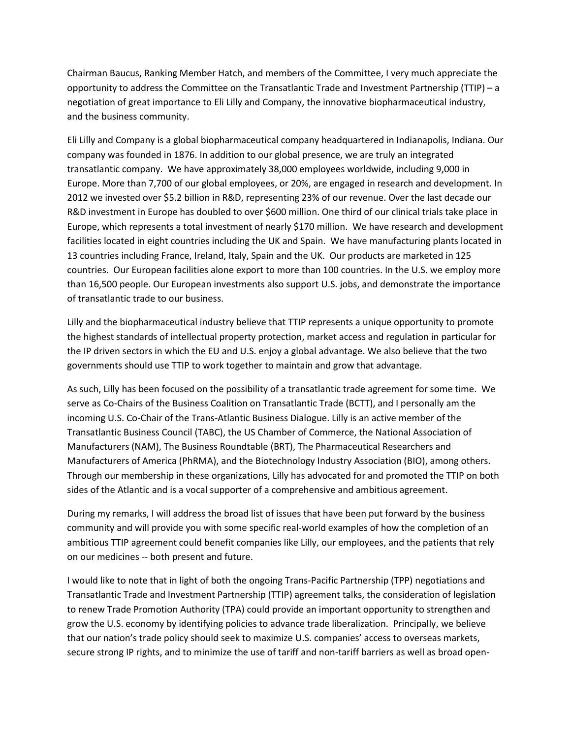Chairman Baucus, Ranking Member Hatch, and members of the Committee, I very much appreciate the opportunity to address the Committee on the Transatlantic Trade and Investment Partnership (TTIP) – a negotiation of great importance to Eli Lilly and Company, the innovative biopharmaceutical industry, and the business community.

Eli Lilly and Company is a global biopharmaceutical company headquartered in Indianapolis, Indiana. Our company was founded in 1876. In addition to our global presence, we are truly an integrated transatlantic company. We have approximately 38,000 employees worldwide, including 9,000 in Europe. More than 7,700 of our global employees, or 20%, are engaged in research and development. In 2012 we invested over \$5.2 billion in R&D, representing 23% of our revenue. Over the last decade our R&D investment in Europe has doubled to over \$600 million. One third of our clinical trials take place in Europe, which represents a total investment of nearly \$170 million. We have research and development facilities located in eight countries including the UK and Spain. We have manufacturing plants located in 13 countries including France, Ireland, Italy, Spain and the UK. Our products are marketed in 125 countries. Our European facilities alone export to more than 100 countries. In the U.S. we employ more than 16,500 people. Our European investments also support U.S. jobs, and demonstrate the importance of transatlantic trade to our business.

Lilly and the biopharmaceutical industry believe that TTIP represents a unique opportunity to promote the highest standards of intellectual property protection, market access and regulation in particular for the IP driven sectors in which the EU and U.S. enjoy a global advantage. We also believe that the two governments should use TTIP to work together to maintain and grow that advantage.

As such, Lilly has been focused on the possibility of a transatlantic trade agreement for some time. We serve as Co-Chairs of the Business Coalition on Transatlantic Trade (BCTT), and I personally am the incoming U.S. Co-Chair of the Trans-Atlantic Business Dialogue. Lilly is an active member of the Transatlantic Business Council (TABC), the US Chamber of Commerce, the National Association of Manufacturers (NAM), The Business Roundtable (BRT), The Pharmaceutical Researchers and Manufacturers of America (PhRMA), and the Biotechnology Industry Association (BIO), among others. Through our membership in these organizations, Lilly has advocated for and promoted the TTIP on both sides of the Atlantic and is a vocal supporter of a comprehensive and ambitious agreement.

During my remarks, I will address the broad list of issues that have been put forward by the business community and will provide you with some specific real-world examples of how the completion of an ambitious TTIP agreement could benefit companies like Lilly, our employees, and the patients that rely on our medicines -- both present and future.

I would like to note that in light of both the ongoing Trans-Pacific Partnership (TPP) negotiations and Transatlantic Trade and Investment Partnership (TTIP) agreement talks, the consideration of legislation to renew Trade Promotion Authority (TPA) could provide an important opportunity to strengthen and grow the U.S. economy by identifying policies to advance trade liberalization. Principally, we believe that our nation's trade policy should seek to maximize U.S. companies' access to overseas markets, secure strong IP rights, and to minimize the use of tariff and non-tariff barriers as well as broad open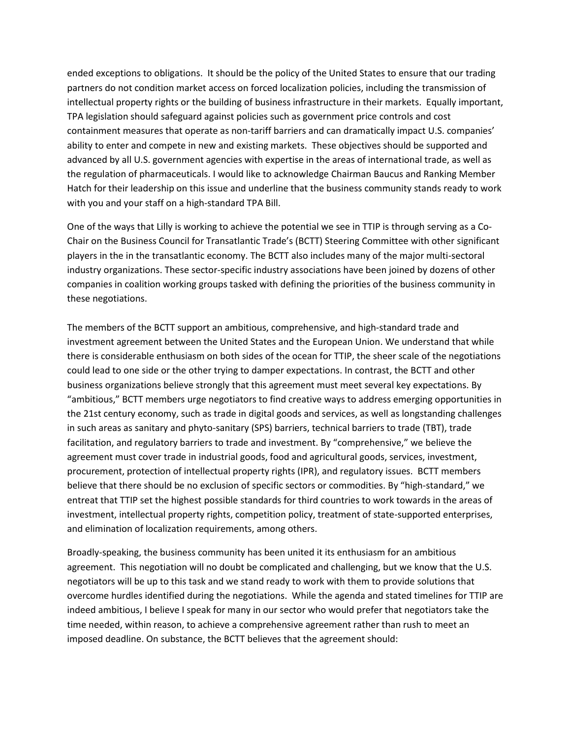ended exceptions to obligations. It should be the policy of the United States to ensure that our trading partners do not condition market access on forced localization policies, including the transmission of intellectual property rights or the building of business infrastructure in their markets. Equally important, TPA legislation should safeguard against policies such as government price controls and cost containment measures that operate as non-tariff barriers and can dramatically impact U.S. companies' ability to enter and compete in new and existing markets. These objectives should be supported and advanced by all U.S. government agencies with expertise in the areas of international trade, as well as the regulation of pharmaceuticals. I would like to acknowledge Chairman Baucus and Ranking Member Hatch for their leadership on this issue and underline that the business community stands ready to work with you and your staff on a high-standard TPA Bill.

One of the ways that Lilly is working to achieve the potential we see in TTIP is through serving as a Co-Chair on the Business Council for Transatlantic Trade's (BCTT) Steering Committee with other significant players in the in the transatlantic economy. The BCTT also includes many of the major multi-sectoral industry organizations. These sector-specific industry associations have been joined by dozens of other companies in coalition working groups tasked with defining the priorities of the business community in these negotiations.

The members of the BCTT support an ambitious, comprehensive, and high-standard trade and investment agreement between the United States and the European Union. We understand that while there is considerable enthusiasm on both sides of the ocean for TTIP, the sheer scale of the negotiations could lead to one side or the other trying to damper expectations. In contrast, the BCTT and other business organizations believe strongly that this agreement must meet several key expectations. By "ambitious," BCTT members urge negotiators to find creative ways to address emerging opportunities in the 21st century economy, such as trade in digital goods and services, as well as longstanding challenges in such areas as sanitary and phyto-sanitary (SPS) barriers, technical barriers to trade (TBT), trade facilitation, and regulatory barriers to trade and investment. By "comprehensive," we believe the agreement must cover trade in industrial goods, food and agricultural goods, services, investment, procurement, protection of intellectual property rights (IPR), and regulatory issues. BCTT members believe that there should be no exclusion of specific sectors or commodities. By "high-standard," we entreat that TTIP set the highest possible standards for third countries to work towards in the areas of investment, intellectual property rights, competition policy, treatment of state-supported enterprises, and elimination of localization requirements, among others.

Broadly-speaking, the business community has been united it its enthusiasm for an ambitious agreement. This negotiation will no doubt be complicated and challenging, but we know that the U.S. negotiators will be up to this task and we stand ready to work with them to provide solutions that overcome hurdles identified during the negotiations. While the agenda and stated timelines for TTIP are indeed ambitious, I believe I speak for many in our sector who would prefer that negotiators take the time needed, within reason, to achieve a comprehensive agreement rather than rush to meet an imposed deadline. On substance, the BCTT believes that the agreement should: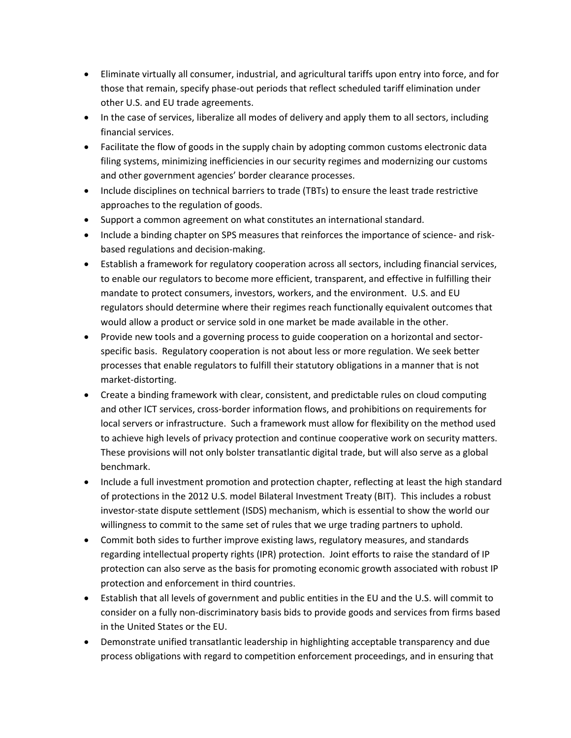- Eliminate virtually all consumer, industrial, and agricultural tariffs upon entry into force, and for those that remain, specify phase-out periods that reflect scheduled tariff elimination under other U.S. and EU trade agreements.
- In the case of services, liberalize all modes of delivery and apply them to all sectors, including financial services.
- Facilitate the flow of goods in the supply chain by adopting common customs electronic data filing systems, minimizing inefficiencies in our security regimes and modernizing our customs and other government agencies' border clearance processes.
- Include disciplines on technical barriers to trade (TBTs) to ensure the least trade restrictive approaches to the regulation of goods.
- Support a common agreement on what constitutes an international standard.
- Include a binding chapter on SPS measures that reinforces the importance of science- and riskbased regulations and decision-making.
- Establish a framework for regulatory cooperation across all sectors, including financial services, to enable our regulators to become more efficient, transparent, and effective in fulfilling their mandate to protect consumers, investors, workers, and the environment. U.S. and EU regulators should determine where their regimes reach functionally equivalent outcomes that would allow a product or service sold in one market be made available in the other.
- Provide new tools and a governing process to guide cooperation on a horizontal and sectorspecific basis. Regulatory cooperation is not about less or more regulation. We seek better processes that enable regulators to fulfill their statutory obligations in a manner that is not market-distorting.
- Create a binding framework with clear, consistent, and predictable rules on cloud computing and other ICT services, cross-border information flows, and prohibitions on requirements for local servers or infrastructure. Such a framework must allow for flexibility on the method used to achieve high levels of privacy protection and continue cooperative work on security matters. These provisions will not only bolster transatlantic digital trade, but will also serve as a global benchmark.
- Include a full investment promotion and protection chapter, reflecting at least the high standard of protections in the 2012 U.S. model Bilateral Investment Treaty (BIT). This includes a robust investor-state dispute settlement (ISDS) mechanism, which is essential to show the world our willingness to commit to the same set of rules that we urge trading partners to uphold.
- Commit both sides to further improve existing laws, regulatory measures, and standards regarding intellectual property rights (IPR) protection. Joint efforts to raise the standard of IP protection can also serve as the basis for promoting economic growth associated with robust IP protection and enforcement in third countries.
- Establish that all levels of government and public entities in the EU and the U.S. will commit to consider on a fully non-discriminatory basis bids to provide goods and services from firms based in the United States or the EU.
- Demonstrate unified transatlantic leadership in highlighting acceptable transparency and due process obligations with regard to competition enforcement proceedings, and in ensuring that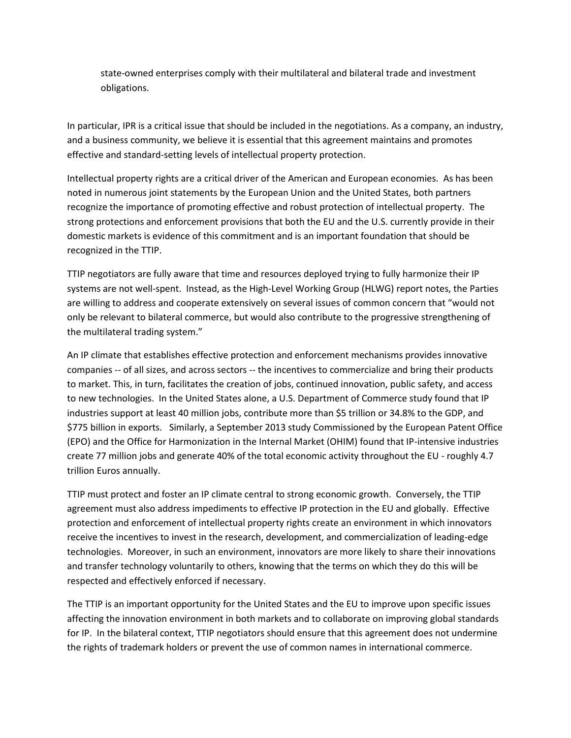state-owned enterprises comply with their multilateral and bilateral trade and investment obligations.

In particular, IPR is a critical issue that should be included in the negotiations. As a company, an industry, and a business community, we believe it is essential that this agreement maintains and promotes effective and standard-setting levels of intellectual property protection.

Intellectual property rights are a critical driver of the American and European economies. As has been noted in numerous joint statements by the European Union and the United States, both partners recognize the importance of promoting effective and robust protection of intellectual property. The strong protections and enforcement provisions that both the EU and the U.S. currently provide in their domestic markets is evidence of this commitment and is an important foundation that should be recognized in the TTIP.

TTIP negotiators are fully aware that time and resources deployed trying to fully harmonize their IP systems are not well-spent. Instead, as the High-Level Working Group (HLWG) report notes, the Parties are willing to address and cooperate extensively on several issues of common concern that "would not only be relevant to bilateral commerce, but would also contribute to the progressive strengthening of the multilateral trading system."

An IP climate that establishes effective protection and enforcement mechanisms provides innovative companies -- of all sizes, and across sectors -- the incentives to commercialize and bring their products to market. This, in turn, facilitates the creation of jobs, continued innovation, public safety, and access to new technologies. In the United States alone, a U.S. Department of Commerce study found that IP industries support at least 40 million jobs, contribute more than \$5 trillion or 34.8% to the GDP, and \$775 billion in exports. Similarly, a September 2013 study Commissioned by the European Patent Office (EPO) and the Office for Harmonization in the Internal Market (OHIM) found that IP-intensive industries create 77 million jobs and generate 40% of the total economic activity throughout the EU - roughly 4.7 trillion Euros annually.

TTIP must protect and foster an IP climate central to strong economic growth. Conversely, the TTIP agreement must also address impediments to effective IP protection in the EU and globally. Effective protection and enforcement of intellectual property rights create an environment in which innovators receive the incentives to invest in the research, development, and commercialization of leading-edge technologies. Moreover, in such an environment, innovators are more likely to share their innovations and transfer technology voluntarily to others, knowing that the terms on which they do this will be respected and effectively enforced if necessary.

The TTIP is an important opportunity for the United States and the EU to improve upon specific issues affecting the innovation environment in both markets and to collaborate on improving global standards for IP. In the bilateral context, TTIP negotiators should ensure that this agreement does not undermine the rights of trademark holders or prevent the use of common names in international commerce.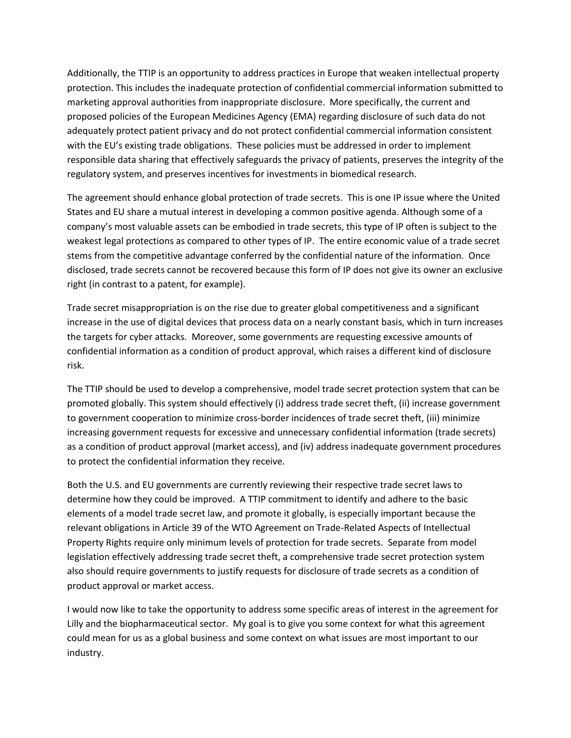Additionally, the TTIP is an opportunity to address practices in Europe that weaken intellectual property protection. This includes the inadequate protection of confidential commercial information submitted to marketing approval authorities from inappropriate disclosure. More specifically, the current and proposed policies of the European Medicines Agency (EMA) regarding disclosure of such data do not adequately protect patient privacy and do not protect confidential commercial information consistent with the EU's existing trade obligations. These policies must be addressed in order to implement responsible data sharing that effectively safeguards the privacy of patients, preserves the integrity of the regulatory system, and preserves incentives for investments in biomedical research.

The agreement should enhance global protection of trade secrets. This is one IP issue where the United States and EU share a mutual interest in developing a common positive agenda. Although some of a company's most valuable assets can be embodied in trade secrets, this type of IP often is subject to the weakest legal protections as compared to other types of IP. The entire economic value of a trade secret stems from the competitive advantage conferred by the confidential nature of the information. Once disclosed, trade secrets cannot be recovered because this form of IP does not give its owner an exclusive right (in contrast to a patent, for example).

Trade secret misappropriation is on the rise due to greater global competitiveness and a significant increase in the use of digital devices that process data on a nearly constant basis, which in turn increases the targets for cyber attacks. Moreover, some governments are requesting excessive amounts of confidential information as a condition of product approval, which raises a different kind of disclosure risk.

The TTIP should be used to develop a comprehensive, model trade secret protection system that can be promoted globally. This system should effectively (i) address trade secret theft, (ii) increase government to government cooperation to minimize cross-border incidences of trade secret theft, (iii) minimize increasing government requests for excessive and unnecessary confidential information (trade secrets) as a condition of product approval (market access), and (iv) address inadequate government procedures to protect the confidential information they receive.

Both the U.S. and EU governments are currently reviewing their respective trade secret laws to determine how they could be improved. A TTIP commitment to identify and adhere to the basic elements of a model trade secret law, and promote it globally, is especially important because the relevant obligations in Article 39 of the WTO Agreement on Trade-Related Aspects of Intellectual Property Rights require only minimum levels of protection for trade secrets. Separate from model legislation effectively addressing trade secret theft, a comprehensive trade secret protection system also should require governments to justify requests for disclosure of trade secrets as a condition of product approval or market access.

I would now like to take the opportunity to address some specific areas of interest in the agreement for Lilly and the biopharmaceutical sector. My goal is to give you some context for what this agreement could mean for us as a global business and some context on what issues are most important to our industry.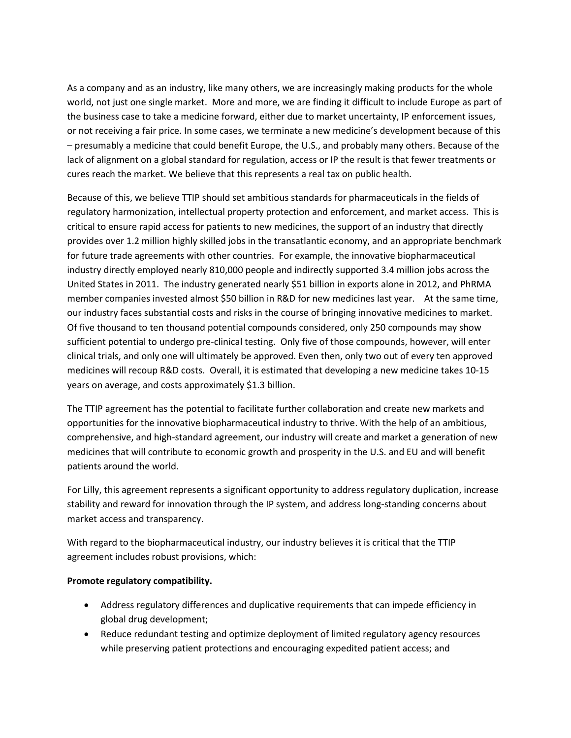As a company and as an industry, like many others, we are increasingly making products for the whole world, not just one single market. More and more, we are finding it difficult to include Europe as part of the business case to take a medicine forward, either due to market uncertainty, IP enforcement issues, or not receiving a fair price. In some cases, we terminate a new medicine's development because of this – presumably a medicine that could benefit Europe, the U.S., and probably many others. Because of the lack of alignment on a global standard for regulation, access or IP the result is that fewer treatments or cures reach the market. We believe that this represents a real tax on public health.

Because of this, we believe TTIP should set ambitious standards for pharmaceuticals in the fields of regulatory harmonization, intellectual property protection and enforcement, and market access. This is critical to ensure rapid access for patients to new medicines, the support of an industry that directly provides over 1.2 million highly skilled jobs in the transatlantic economy, and an appropriate benchmark for future trade agreements with other countries. For example, the innovative biopharmaceutical industry directly employed nearly 810,000 people and indirectly supported 3.4 million jobs across the United States in 2011. The industry generated nearly \$51 billion in exports alone in 2012, and PhRMA member companies invested almost \$50 billion in R&D for new medicines last year. At the same time, our industry faces substantial costs and risks in the course of bringing innovative medicines to market. Of five thousand to ten thousand potential compounds considered, only 250 compounds may show sufficient potential to undergo pre-clinical testing. Only five of those compounds, however, will enter clinical trials, and only one will ultimately be approved. Even then, only two out of every ten approved medicines will recoup R&D costs. Overall, it is estimated that developing a new medicine takes 10‐15 years on average, and costs approximately \$1.3 billion.

The TTIP agreement has the potential to facilitate further collaboration and create new markets and opportunities for the innovative biopharmaceutical industry to thrive. With the help of an ambitious, comprehensive, and high-standard agreement, our industry will create and market a generation of new medicines that will contribute to economic growth and prosperity in the U.S. and EU and will benefit patients around the world.

For Lilly, this agreement represents a significant opportunity to address regulatory duplication, increase stability and reward for innovation through the IP system, and address long-standing concerns about market access and transparency.

With regard to the biopharmaceutical industry, our industry believes it is critical that the TTIP agreement includes robust provisions, which:

#### **Promote regulatory compatibility.**

- Address regulatory differences and duplicative requirements that can impede efficiency in global drug development;
- Reduce redundant testing and optimize deployment of limited regulatory agency resources while preserving patient protections and encouraging expedited patient access; and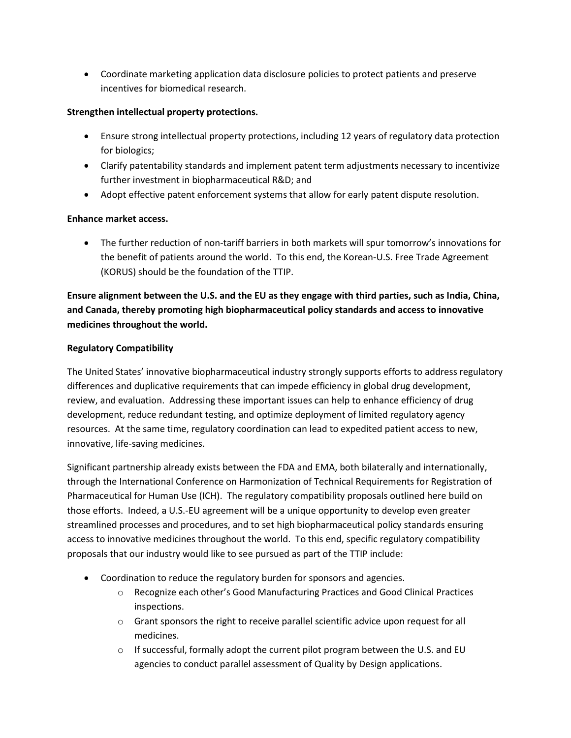Coordinate marketing application data disclosure policies to protect patients and preserve incentives for biomedical research.

#### **Strengthen intellectual property protections.**

- Ensure strong intellectual property protections, including 12 years of regulatory data protection for biologics;
- Clarify patentability standards and implement patent term adjustments necessary to incentivize further investment in biopharmaceutical R&D; and
- Adopt effective patent enforcement systems that allow for early patent dispute resolution.

### **Enhance market access.**

● The further reduction of non-tariff barriers in both markets will spur tomorrow's innovations for the benefit of patients around the world. To this end, the Korean‐U.S. Free Trade Agreement (KORUS) should be the foundation of the TTIP.

**Ensure alignment between the U.S. and the EU as they engage with third parties, such as India, China, and Canada, thereby promoting high biopharmaceutical policy standards and access to innovative medicines throughout the world.** 

### **Regulatory Compatibility**

The United States' innovative biopharmaceutical industry strongly supports efforts to address regulatory differences and duplicative requirements that can impede efficiency in global drug development, review, and evaluation. Addressing these important issues can help to enhance efficiency of drug development, reduce redundant testing, and optimize deployment of limited regulatory agency resources. At the same time, regulatory coordination can lead to expedited patient access to new, innovative, life‐saving medicines.

Significant partnership already exists between the FDA and EMA, both bilaterally and internationally, through the International Conference on Harmonization of Technical Requirements for Registration of Pharmaceutical for Human Use (ICH). The regulatory compatibility proposals outlined here build on those efforts. Indeed, a U.S.‐EU agreement will be a unique opportunity to develop even greater streamlined processes and procedures, and to set high biopharmaceutical policy standards ensuring access to innovative medicines throughout the world. To this end, specific regulatory compatibility proposals that our industry would like to see pursued as part of the TTIP include:

- Coordination to reduce the regulatory burden for sponsors and agencies.
	- o Recognize each other's Good Manufacturing Practices and Good Clinical Practices inspections.
	- $\circ$  Grant sponsors the right to receive parallel scientific advice upon request for all medicines.
	- o If successful, formally adopt the current pilot program between the U.S. and EU agencies to conduct parallel assessment of Quality by Design applications.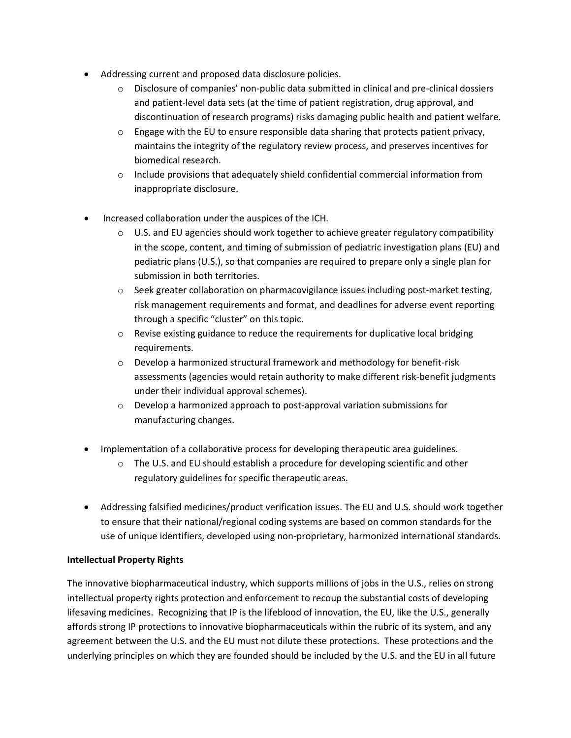- Addressing current and proposed data disclosure policies.
	- o Disclosure of companies' non‐public data submitted in clinical and pre‐clinical dossiers and patient‐level data sets (at the time of patient registration, drug approval, and discontinuation of research programs) risks damaging public health and patient welfare.
	- $\circ$  Engage with the EU to ensure responsible data sharing that protects patient privacy, maintains the integrity of the regulatory review process, and preserves incentives for biomedical research.
	- $\circ$  Include provisions that adequately shield confidential commercial information from inappropriate disclosure.
- Increased collaboration under the auspices of the ICH.
	- $\circ$  U.S. and EU agencies should work together to achieve greater regulatory compatibility in the scope, content, and timing of submission of pediatric investigation plans (EU) and pediatric plans (U.S.), so that companies are required to prepare only a single plan for submission in both territories.
	- Seek greater collaboration on pharmacovigilance issues including post-market testing, risk management requirements and format, and deadlines for adverse event reporting through a specific "cluster" on this topic.
	- $\circ$  Revise existing guidance to reduce the requirements for duplicative local bridging requirements.
	- o Develop a harmonized structural framework and methodology for benefit‐risk assessments (agencies would retain authority to make different risk‐benefit judgments under their individual approval schemes).
	- o Develop a harmonized approach to post‐approval variation submissions for manufacturing changes.
- Implementation of a collaborative process for developing therapeutic area guidelines.
	- $\circ$  The U.S. and EU should establish a procedure for developing scientific and other regulatory guidelines for specific therapeutic areas.
- Addressing falsified medicines/product verification issues. The EU and U.S. should work together to ensure that their national/regional coding systems are based on common standards for the use of unique identifiers, developed using non‐proprietary, harmonized international standards.

#### **Intellectual Property Rights**

The innovative biopharmaceutical industry, which supports millions of jobs in the U.S., relies on strong intellectual property rights protection and enforcement to recoup the substantial costs of developing lifesaving medicines. Recognizing that IP is the lifeblood of innovation, the EU, like the U.S., generally affords strong IP protections to innovative biopharmaceuticals within the rubric of its system, and any agreement between the U.S. and the EU must not dilute these protections. These protections and the underlying principles on which they are founded should be included by the U.S. and the EU in all future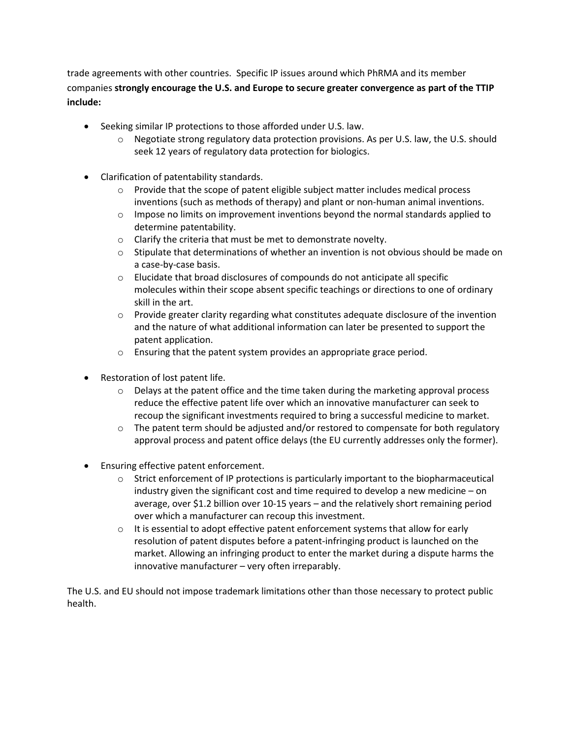trade agreements with other countries. Specific IP issues around which PhRMA and its member companies **strongly encourage the U.S. and Europe to secure greater convergence as part of the TTIP include:** 

- Seeking similar IP protections to those afforded under U.S. law.
	- $\circ$  Negotiate strong regulatory data protection provisions. As per U.S. law, the U.S. should seek 12 years of regulatory data protection for biologics.
- Clarification of patentability standards.
	- $\circ$  Provide that the scope of patent eligible subject matter includes medical process inventions (such as methods of therapy) and plant or non-human animal inventions.
	- $\circ$  Impose no limits on improvement inventions beyond the normal standards applied to determine patentability.
	- o Clarify the criteria that must be met to demonstrate novelty.
	- $\circ$  Stipulate that determinations of whether an invention is not obvious should be made on a case‐by‐case basis.
	- o Elucidate that broad disclosures of compounds do not anticipate all specific molecules within their scope absent specific teachings or directions to one of ordinary skill in the art.
	- $\circ$  Provide greater clarity regarding what constitutes adequate disclosure of the invention and the nature of what additional information can later be presented to support the patent application.
	- o Ensuring that the patent system provides an appropriate grace period.
- Restoration of lost patent life.
	- $\circ$  Delays at the patent office and the time taken during the marketing approval process reduce the effective patent life over which an innovative manufacturer can seek to recoup the significant investments required to bring a successful medicine to market.
	- $\circ$  The patent term should be adjusted and/or restored to compensate for both regulatory approval process and patent office delays (the EU currently addresses only the former).
- Ensuring effective patent enforcement.
	- $\circ$  Strict enforcement of IP protections is particularly important to the biopharmaceutical industry given the significant cost and time required to develop a new medicine – on average, over \$1.2 billion over 10‐15 years – and the relatively short remaining period over which a manufacturer can recoup this investment.
	- $\circ$  It is essential to adopt effective patent enforcement systems that allow for early resolution of patent disputes before a patent‐infringing product is launched on the market. Allowing an infringing product to enter the market during a dispute harms the innovative manufacturer – very often irreparably.

The U.S. and EU should not impose trademark limitations other than those necessary to protect public health.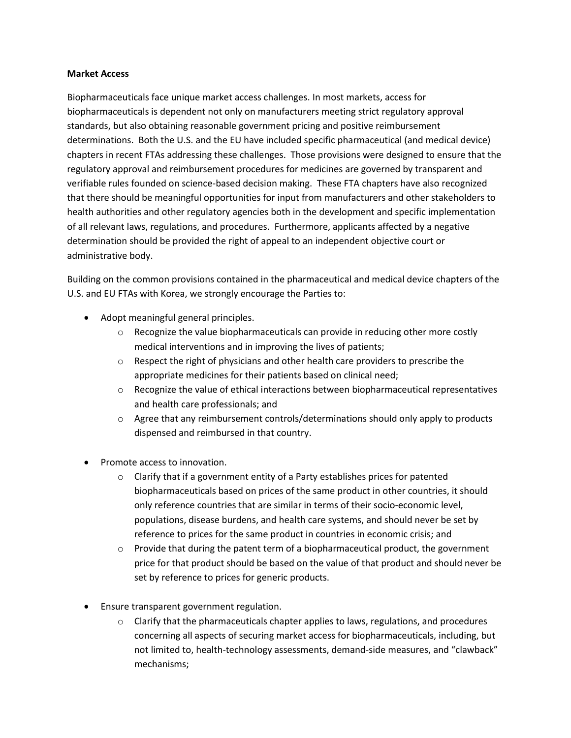#### **Market Access**

Biopharmaceuticals face unique market access challenges. In most markets, access for biopharmaceuticals is dependent not only on manufacturers meeting strict regulatory approval standards, but also obtaining reasonable government pricing and positive reimbursement determinations. Both the U.S. and the EU have included specific pharmaceutical (and medical device) chapters in recent FTAs addressing these challenges. Those provisions were designed to ensure that the regulatory approval and reimbursement procedures for medicines are governed by transparent and verifiable rules founded on science‐based decision making. These FTA chapters have also recognized that there should be meaningful opportunities for input from manufacturers and other stakeholders to health authorities and other regulatory agencies both in the development and specific implementation of all relevant laws, regulations, and procedures. Furthermore, applicants affected by a negative determination should be provided the right of appeal to an independent objective court or administrative body.

Building on the common provisions contained in the pharmaceutical and medical device chapters of the U.S. and EU FTAs with Korea, we strongly encourage the Parties to:

- Adopt meaningful general principles.
	- $\circ$  Recognize the value biopharmaceuticals can provide in reducing other more costly medical interventions and in improving the lives of patients;
	- $\circ$  Respect the right of physicians and other health care providers to prescribe the appropriate medicines for their patients based on clinical need;
	- $\circ$  Recognize the value of ethical interactions between biopharmaceutical representatives and health care professionals; and
	- $\circ$  Agree that any reimbursement controls/determinations should only apply to products dispensed and reimbursed in that country.
- Promote access to innovation.
	- o Clarify that if a government entity of a Party establishes prices for patented biopharmaceuticals based on prices of the same product in other countries, it should only reference countries that are similar in terms of their socio‐economic level, populations, disease burdens, and health care systems, and should never be set by reference to prices for the same product in countries in economic crisis; and
	- $\circ$  Provide that during the patent term of a biopharmaceutical product, the government price for that product should be based on the value of that product and should never be set by reference to prices for generic products.
- Ensure transparent government regulation.
	- $\circ$  Clarify that the pharmaceuticals chapter applies to laws, regulations, and procedures concerning all aspects of securing market access for biopharmaceuticals, including, but not limited to, health‐technology assessments, demand‐side measures, and "clawback" mechanisms;